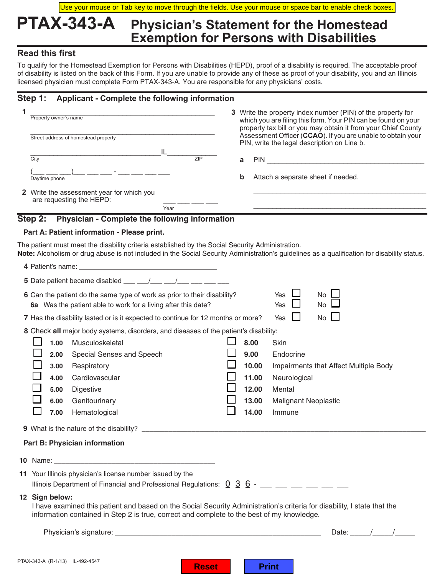Use your mouse or Tab key to move through the fields. Use your mouse or space bar to enable check boxes.

## **PTAX-343-A Physician's Statement for the Homestead Exemption for Persons with Disabilities**

## **Read this first**

To qualify for the Homestead Exemption for Persons with Disabilities (HEPD), proof of a disability is required. The acceptable proof of disability is listed on the back of this Form. If you are unable to provide any of these as proof of your disability, you and an Illinois licensed physician must complete Form PTAX-343-A. You are responsible for any physicians' costs.

### **Step 1: Applicant - Complete the following information**

| Property owner's name<br>Street address of homestead property                                                                             | 3 Write the property index number (PIN) of the property for<br>which you are filing this form. Your PIN can be found on your<br>property tax bill or you may obtain it from your Chief County<br>Assessment Officer (CCAO). If you are unable to obtain your<br>PIN, write the legal description on Line b. |  |  |  |  |
|-------------------------------------------------------------------------------------------------------------------------------------------|-------------------------------------------------------------------------------------------------------------------------------------------------------------------------------------------------------------------------------------------------------------------------------------------------------------|--|--|--|--|
| IL.<br>7IP<br>$\overline{C}$ ity                                                                                                          | a                                                                                                                                                                                                                                                                                                           |  |  |  |  |
| Daytime phone                                                                                                                             | b<br>Attach a separate sheet if needed.                                                                                                                                                                                                                                                                     |  |  |  |  |
| 2 Write the assessment year for which you<br>are requesting the HEPD:                                                                     |                                                                                                                                                                                                                                                                                                             |  |  |  |  |
| Year                                                                                                                                      |                                                                                                                                                                                                                                                                                                             |  |  |  |  |
| Step 2:<br>Physician - Complete the following information                                                                                 |                                                                                                                                                                                                                                                                                                             |  |  |  |  |
| Part A: Patient information - Please print.                                                                                               |                                                                                                                                                                                                                                                                                                             |  |  |  |  |
| The patient must meet the disability criteria established by the Social Security Administration.                                          | Note: Alcoholism or drug abuse is not included in the Social Security Administration's guidelines as a qualification for disability status.                                                                                                                                                                 |  |  |  |  |
|                                                                                                                                           |                                                                                                                                                                                                                                                                                                             |  |  |  |  |
| 5 Date patient became disabled ___ __/___ __/___                                                                                          |                                                                                                                                                                                                                                                                                                             |  |  |  |  |
| 6 Can the patient do the same type of work as prior to their disability?<br>6a Was the patient able to work for a living after this date? | $No \perp$<br><b>Yes</b><br><b>Yes</b><br><b>No</b>                                                                                                                                                                                                                                                         |  |  |  |  |
| 7 Has the disability lasted or is it expected to continue for 12 months or more?                                                          | $\mathcal{L}^{\mathcal{L}}$<br><b>No</b><br>Yes                                                                                                                                                                                                                                                             |  |  |  |  |
| 8 Check all major body systems, disorders, and diseases of the patient's disability:                                                      |                                                                                                                                                                                                                                                                                                             |  |  |  |  |
| Musculoskeletal<br>1.00                                                                                                                   | 8.00<br><b>Skin</b>                                                                                                                                                                                                                                                                                         |  |  |  |  |
| Special Senses and Speech<br>2.00                                                                                                         | 9.00<br>Endocrine                                                                                                                                                                                                                                                                                           |  |  |  |  |
| Respiratory<br>3.00                                                                                                                       | 10.00<br>Impairments that Affect Multiple Body                                                                                                                                                                                                                                                              |  |  |  |  |

| <b>10</b> Name:                                                                                                                           |  |
|-------------------------------------------------------------------------------------------------------------------------------------------|--|
| 11 Your Illinois physician's license number issued by the<br>Illinois Department of Financial and Professional Regulations: $0\,3\,6\,$ - |  |

**6.00** Genitourinary **13.00** Malignant Neoplastic

**4.00** Cardiovascular **11.00** Neurological **5.00** Digestive **12.00** Mental

**7.00** Hematological **14.00** Immune

#### **12 Sign below:**

 I have examined this patient and based on the Social Security Administration's criteria for disability, I state that the information contained in Step 2 is true, correct and complete to the best of my knowledge.

Physician's signature: \_\_\_\_\_\_\_\_\_\_\_\_\_\_\_\_\_\_\_\_\_\_\_\_\_\_\_\_\_\_\_\_\_\_\_\_\_\_\_\_\_\_\_\_\_\_\_\_\_\_\_ Date: \_\_\_\_\_/\_\_\_\_\_/\_\_\_\_\_

**9** What is the nature of the disability?

 **Part B: Physician information**

| a ser |  |
|-------|--|
|       |  |

**Reset Print**